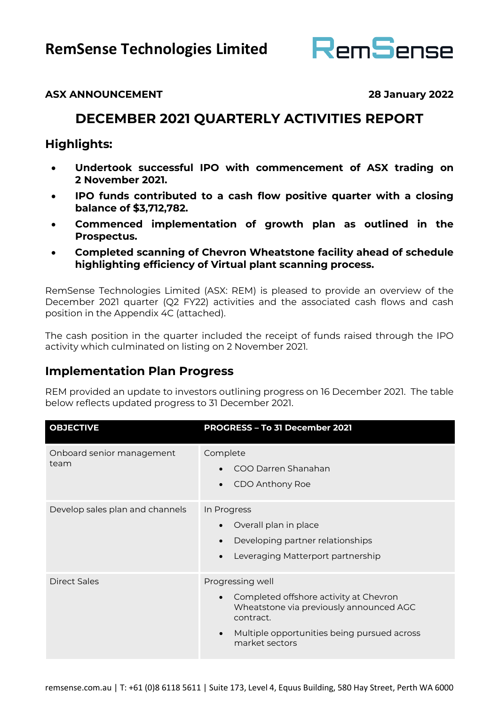

## **ASX ANNOUNCEMENT 28 January 2022**

# **DECEMBER 2021 QUARTERLY ACTIVITIES REPORT**

## **Highlights:**

- **Undertook successful IPO with commencement of ASX trading on 2 November 2021.**
- **IPO funds contributed to a cash flow positive quarter with a closing balance of \$3,712,782.**
- **Commenced implementation of growth plan as outlined in the Prospectus.**
- **Completed scanning of Chevron Wheatstone facility ahead of schedule highlighting efficiency of Virtual plant scanning process.**

RemSense Technologies Limited (ASX: REM) is pleased to provide an overview of the December 2021 quarter (Q2 FY22) activities and the associated cash flows and cash position in the Appendix 4C (attached).

The cash position in the quarter included the receipt of funds raised through the IPO activity which culminated on listing on 2 November 2021.

## **Implementation Plan Progress**

REM provided an update to investors outlining progress on 16 December 2021. The table below reflects updated progress to 31 December 2021.

| <b>OBJECTIVE</b>                  | PROGRESS - To 31 December 2021                                                                                                                                                                   |
|-----------------------------------|--------------------------------------------------------------------------------------------------------------------------------------------------------------------------------------------------|
| Onboard senior management<br>team | Complete<br>COO Darren Shanahan<br>CDO Anthony Roe                                                                                                                                               |
| Develop sales plan and channels   | In Progress<br>Overall plan in place<br>Developing partner relationships<br>Leveraging Matterport partnership                                                                                    |
| <b>Direct Sales</b>               | Progressing well<br>Completed offshore activity at Chevron<br>Wheatstone via previously announced AGC<br>contract.<br>Multiple opportunities being pursued across<br>$\bullet$<br>market sectors |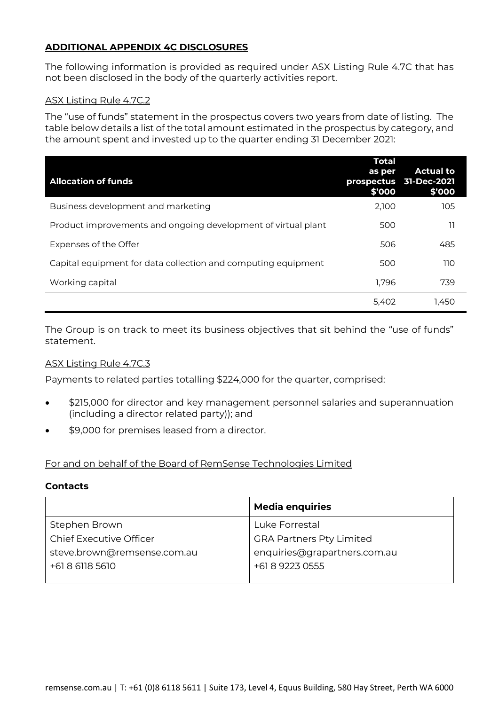### **ADDITIONAL APPENDIX 4C DISCLOSURES**

The following information is provided as required under ASX Listing Rule 4.7C that has not been disclosed in the body of the quarterly activities report.

#### ASX Listing Rule 4.7C.2

The "use of funds" statement in the prospectus covers two years from date of listing. The table below details a list of the total amount estimated in the prospectus by category, and the amount spent and invested up to the quarter ending 31 December 2021:

| <b>Allocation of funds</b>                                    | <b>Total</b><br>as per<br>\$'000 | <b>Actual to</b><br>prospectus 31-Dec-2021<br>\$'000 |
|---------------------------------------------------------------|----------------------------------|------------------------------------------------------|
| Business development and marketing                            | 2,100                            | 105                                                  |
| Product improvements and ongoing development of virtual plant | 500                              | וו                                                   |
| Expenses of the Offer                                         | 506                              | 485                                                  |
| Capital equipment for data collection and computing equipment | 500                              | 110                                                  |
| Working capital                                               | 1,796                            | 739                                                  |
|                                                               | 5.402                            | 1.450                                                |

The Group is on track to meet its business objectives that sit behind the "use of funds" statement.

#### ASX Listing Rule 4.7C.3

Payments to related parties totalling \$224,000 for the quarter, comprised:

- \$215,000 for director and key management personnel salaries and superannuation (including a director related party)); and
- \$9,000 for premises leased from a director.

#### For and on behalf of the Board of RemSense Technologies Limited

#### **Contacts**

|                                | <b>Media enquiries</b>          |
|--------------------------------|---------------------------------|
| Stephen Brown                  | Luke Forrestal                  |
| <b>Chief Executive Officer</b> | <b>GRA Partners Pty Limited</b> |
| steve.brown@remsense.com.au    | enquiries@grapartners.com.au    |
| +61 8 6118 5610                | +61 8 9223 0555                 |
|                                |                                 |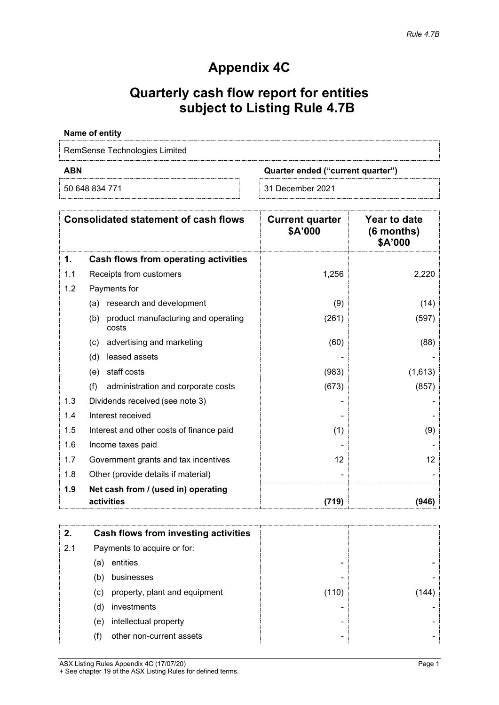# **Appendix 4C**

# **Quarterly cash flow report for entities subject to Listing Rule 4.7B**

#### **Name of entity**

RemSense Technologies Limited

**ABN Quarter ended ("current quarter")**

50 648 834 771 31 December 2021

|     | <b>Consolidated statement of cash flows</b>         | <b>Current quarter</b><br>\$A'000 | Year to date<br>$(6$ months)<br>\$A'000 |
|-----|-----------------------------------------------------|-----------------------------------|-----------------------------------------|
| 1.  | Cash flows from operating activities                |                                   |                                         |
| 1.1 | Receipts from customers                             | 1,256                             | 2,220                                   |
| 1.2 | Payments for                                        |                                   |                                         |
|     | research and development<br>(a)                     | (9)                               | (14)                                    |
|     | product manufacturing and operating<br>(b)<br>costs | (261)                             | (597)                                   |
|     | advertising and marketing<br>(c)                    | (60)                              | (88)                                    |
|     | leased assets<br>(d)                                |                                   |                                         |
|     | staff costs<br>(e)                                  | (983)                             | (1,613)                                 |
|     | (f)<br>administration and corporate costs           | (673)                             | (857)                                   |
| 1.3 | Dividends received (see note 3)                     |                                   |                                         |
| 1.4 | Interest received                                   |                                   |                                         |
| 1.5 | Interest and other costs of finance paid            | (1)                               | (9)                                     |
| 1.6 | Income taxes paid                                   |                                   |                                         |
| 1.7 | Government grants and tax incentives                | 12                                | 12                                      |
| 1.8 | Other (provide details if material)                 |                                   |                                         |
| 1.9 | Net cash from / (used in) operating<br>activities   | (719)                             | (946)                                   |

| 2.  | Cash flows from investing activities |       |      |
|-----|--------------------------------------|-------|------|
| 2.1 | Payments to acquire or for:          |       |      |
|     | entities<br>(a)                      |       |      |
|     | businesses<br>(b)                    |       |      |
|     | property, plant and equipment<br>(C) | (110) | 144) |
|     | investments<br>(d)                   |       |      |
|     | intellectual property<br>(e)         |       |      |
|     | other non-current assets             |       |      |

ASX Listing Rules Appendix 4C (17/07/20) Page 1 + See chapter 19 of the ASX Listing Rules for defined terms.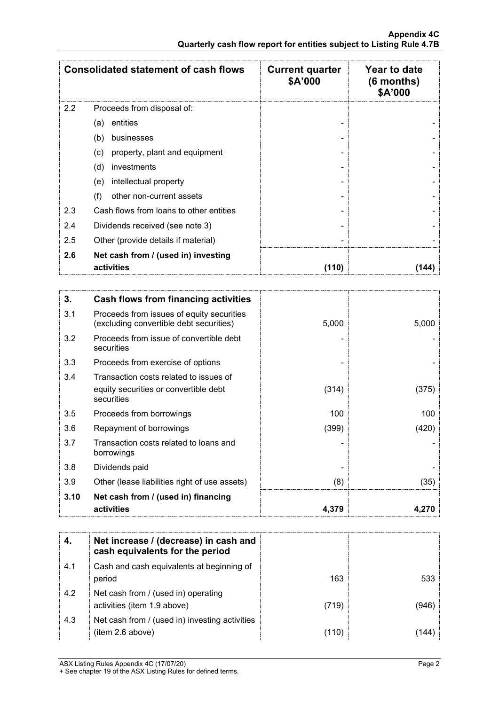|     | <b>Consolidated statement of cash flows</b>       | <b>Current quarter</b><br>\$A'000 | Year to date<br>$(6$ months)<br>\$A'000 |
|-----|---------------------------------------------------|-----------------------------------|-----------------------------------------|
| 2.2 | Proceeds from disposal of:                        |                                   |                                         |
|     | entities<br>(a)                                   |                                   |                                         |
|     | (b)<br>businesses                                 |                                   |                                         |
|     | property, plant and equipment<br>(c)              |                                   |                                         |
|     | (d)<br>investments                                |                                   |                                         |
|     | intellectual property<br>(e)                      |                                   |                                         |
|     | (f)<br>other non-current assets                   |                                   |                                         |
| 2.3 | Cash flows from loans to other entities           |                                   |                                         |
| 2.4 | Dividends received (see note 3)                   |                                   |                                         |
| 2.5 | Other (provide details if material)               |                                   |                                         |
| 2.6 | Net cash from / (used in) investing<br>activities | (110)                             |                                         |

| 3.   | <b>Cash flows from financing activities</b>                                                   |       |       |
|------|-----------------------------------------------------------------------------------------------|-------|-------|
| 3.1  | Proceeds from issues of equity securities<br>(excluding convertible debt securities)          | 5,000 | 5,000 |
| 3.2  | Proceeds from issue of convertible debt<br>securities                                         |       |       |
| 3.3  | Proceeds from exercise of options                                                             |       |       |
| 3.4  | Transaction costs related to issues of<br>equity securities or convertible debt<br>securities | (314) | (375) |
| 3.5  | Proceeds from borrowings                                                                      | 100   | 100   |
| 3.6  | Repayment of borrowings                                                                       | (399) | (420) |
| 3.7  | Transaction costs related to loans and<br>borrowings                                          |       |       |
| 3.8  | Dividends paid                                                                                |       |       |
| 3.9  | Other (lease liabilities right of use assets)                                                 | (8)   | (35)  |
| 3.10 | Net cash from / (used in) financing<br>activities                                             | 4,379 | 4.270 |

|     | Net increase / (decrease) in cash and<br>cash equivalents for the period |       |      |
|-----|--------------------------------------------------------------------------|-------|------|
| 4.1 | Cash and cash equivalents at beginning of<br>period                      | 163   | 533. |
| 4.2 | Net cash from / (used in) operating<br>activities (item 1.9 above)       | (719) |      |
| 4.3 | Net cash from / (used in) investing activities<br>(item 2.6 above)       | (110  |      |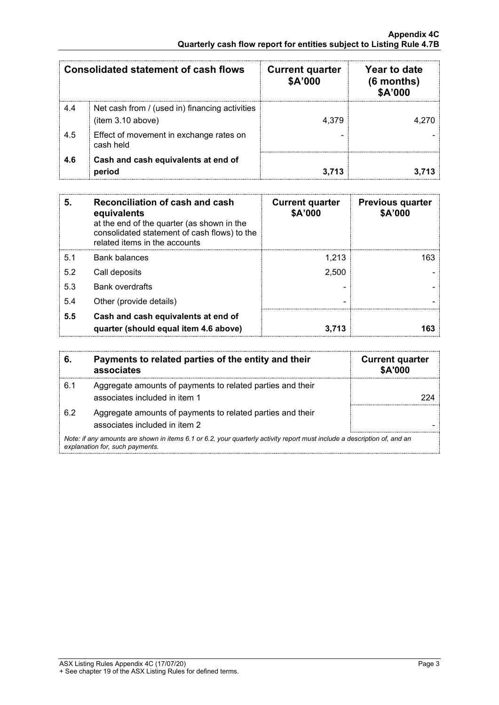|     | <b>Consolidated statement of cash flows</b>                         | <b>Current quarter</b><br>\$A'000 | Year to date<br>(6 months)<br>\$A'000 |
|-----|---------------------------------------------------------------------|-----------------------------------|---------------------------------------|
| 4.4 | Net cash from / (used in) financing activities<br>(item 3.10 above) | 4.379                             |                                       |
| 4.5 | Effect of movement in exchange rates on<br>cash held                |                                   |                                       |
| 4.6 | Cash and cash equivalents at end of<br>period                       |                                   |                                       |

| 5.  | Reconciliation of cash and cash<br>equivalents<br>at the end of the quarter (as shown in the<br>consolidated statement of cash flows) to the<br>related items in the accounts | <b>Current quarter</b><br>\$A'000 | <b>Previous quarter</b><br>\$A'000 |
|-----|-------------------------------------------------------------------------------------------------------------------------------------------------------------------------------|-----------------------------------|------------------------------------|
| 5.1 | Bank balances                                                                                                                                                                 | 1.213                             | 163                                |
| 5.2 | Call deposits                                                                                                                                                                 | 2,500                             |                                    |
| 5.3 | <b>Bank overdrafts</b>                                                                                                                                                        |                                   |                                    |
| 5.4 | Other (provide details)                                                                                                                                                       |                                   |                                    |
| 5.5 | Cash and cash equivalents at end of<br>quarter (should equal item 4.6 above)                                                                                                  | 3.713                             |                                    |

| 6.                                                                                                                                                          | Payments to related parties of the entity and their<br>associates                           | <b>Current quarter</b><br><b>\$A'000</b> |
|-------------------------------------------------------------------------------------------------------------------------------------------------------------|---------------------------------------------------------------------------------------------|------------------------------------------|
| 6.1                                                                                                                                                         | Aggregate amounts of payments to related parties and their<br>associates included in item 1 |                                          |
| 62                                                                                                                                                          | Aggregate amounts of payments to related parties and their<br>associates included in item 2 |                                          |
| Note: if any amounts are shown in items 6.1 or 6.2, your quarterly activity report must include a description of, and an<br>explanation for, such payments. |                                                                                             |                                          |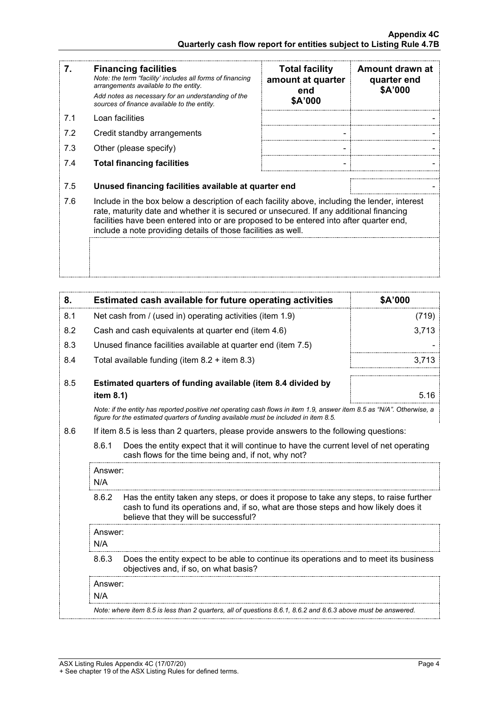| 7.  | <b>Financing facilities</b><br>Note: the term "facility' includes all forms of financing<br>arrangements available to the entity.<br>Add notes as necessary for an understanding of the<br>sources of finance available to the entity.                                                                                                               | <b>Total facility</b><br>amount at quarter<br>end<br>\$A'000 | Amount drawn at<br>quarter end<br>\$A'000 |
|-----|------------------------------------------------------------------------------------------------------------------------------------------------------------------------------------------------------------------------------------------------------------------------------------------------------------------------------------------------------|--------------------------------------------------------------|-------------------------------------------|
| 7.1 | Loan facilities                                                                                                                                                                                                                                                                                                                                      |                                                              |                                           |
| 7.2 | Credit standby arrangements                                                                                                                                                                                                                                                                                                                          |                                                              |                                           |
| 7.3 | Other (please specify)                                                                                                                                                                                                                                                                                                                               |                                                              |                                           |
| 7.4 | <b>Total financing facilities</b>                                                                                                                                                                                                                                                                                                                    |                                                              |                                           |
| 7.5 | Unused financing facilities available at quarter end                                                                                                                                                                                                                                                                                                 |                                                              |                                           |
| 7.6 | Include in the box below a description of each facility above, including the lender, interest<br>rate, maturity date and whether it is secured or unsecured. If any additional financing<br>facilities have been entered into or are proposed to be entered into after quarter end,<br>include a note providing details of those facilities as well. |                                                              |                                           |
|     |                                                                                                                                                                                                                                                                                                                                                      |                                                              |                                           |

| 8.  |                                                                                                                                                                                                                                 | Estimated cash available for future operating activities  | \$A'000 |
|-----|---------------------------------------------------------------------------------------------------------------------------------------------------------------------------------------------------------------------------------|-----------------------------------------------------------|---------|
| 8.1 |                                                                                                                                                                                                                                 | Net cash from / (used in) operating activities (item 1.9) | (719)   |
| 8.2 |                                                                                                                                                                                                                                 | Cash and cash equivalents at quarter end (item 4.6)       | 3,713   |
| 8.3 | Unused finance facilities available at quarter end (item 7.5)                                                                                                                                                                   |                                                           |         |
| 8.4 |                                                                                                                                                                                                                                 | Total available funding (item $8.2 +$ item $8.3$ )        | 3,713   |
| 8.5 | Estimated quarters of funding available (item 8.4 divided by<br>item 8.1)                                                                                                                                                       |                                                           | 5.16    |
|     | Note: if the entity has reported positive net operating cash flows in item 1.9, answer item 8.5 as "N/A". Otherwise, a<br>figure for the estimated quarters of funding available must be included in item 8.5.                  |                                                           |         |
| 8.6 | If item 8.5 is less than 2 quarters, please provide answers to the following questions:                                                                                                                                         |                                                           |         |
|     | 8.6.1<br>Does the entity expect that it will continue to have the current level of net operating<br>cash flows for the time being and, if not, why not?                                                                         |                                                           |         |
|     | Answer:<br>N/A                                                                                                                                                                                                                  |                                                           |         |
|     | 8.6.2<br>Has the entity taken any steps, or does it propose to take any steps, to raise further<br>cash to fund its operations and, if so, what are those steps and how likely does it<br>believe that they will be successful? |                                                           |         |
|     | Answer:                                                                                                                                                                                                                         |                                                           |         |
|     | N/A                                                                                                                                                                                                                             |                                                           |         |
|     | 8.6.3<br>Does the entity expect to be able to continue its operations and to meet its business<br>objectives and, if so, on what basis?                                                                                         |                                                           |         |
|     | Answer:<br>N/A                                                                                                                                                                                                                  |                                                           |         |
|     | Note: where item 8.5 is less than 2 quarters, all of questions 8.6.1, 8.6.2 and 8.6.3 above must be answered.                                                                                                                   |                                                           |         |